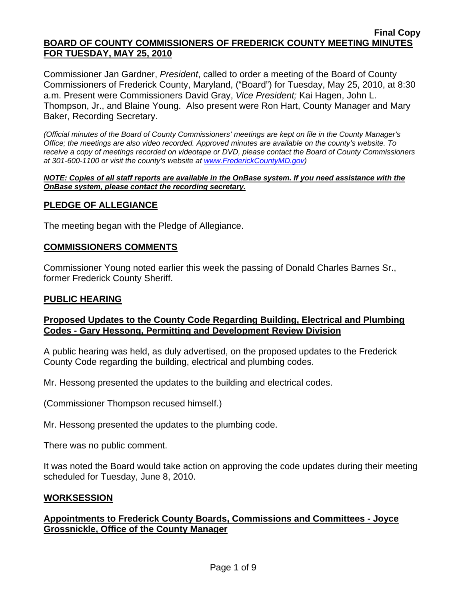Commissioner Jan Gardner, *President*, called to order a meeting of the Board of County Commissioners of Frederick County, Maryland, ("Board") for Tuesday, May 25, 2010, at 8:30 a.m. Present were Commissioners David Gray, *Vice President;* Kai Hagen, John L. Thompson, Jr., and Blaine Young. Also present were Ron Hart, County Manager and Mary Baker, Recording Secretary.

*(Official minutes of the Board of County Commissioners' meetings are kept on file in the County Manager's Office; the meetings are also video recorded. Approved minutes are available on the county's website. To receive a copy of meetings recorded on videotape or DVD, please contact the Board of County Commissioners at 301-600-1100 or visit the county's website at [www.FrederickCountyMD.gov\)](http://www.frederickcountymd.gov/)* 

#### *NOTE: Copies of all staff reports are available in the OnBase system. If you need assistance with the OnBase system, please contact the recording secretary.*

### **PLEDGE OF ALLEGIANCE**

The meeting began with the Pledge of Allegiance.

### **COMMISSIONERS COMMENTS**

Commissioner Young noted earlier this week the passing of Donald Charles Barnes Sr., former Frederick County Sheriff.

#### **PUBLIC HEARING**

### **Proposed Updates to the County Code Regarding Building, Electrical and Plumbing Codes - Gary Hessong, Permitting and Development Review Division**

A public hearing was held, as duly advertised, on the proposed updates to the Frederick County Code regarding the building, electrical and plumbing codes.

Mr. Hessong presented the updates to the building and electrical codes.

(Commissioner Thompson recused himself.)

Mr. Hessong presented the updates to the plumbing code.

There was no public comment.

It was noted the Board would take action on approving the code updates during their meeting scheduled for Tuesday, June 8, 2010.

#### **WORKSESSION**

## **Appointments to Frederick County Boards, Commissions and Committees - Joyce Grossnickle, Office of the County Manager**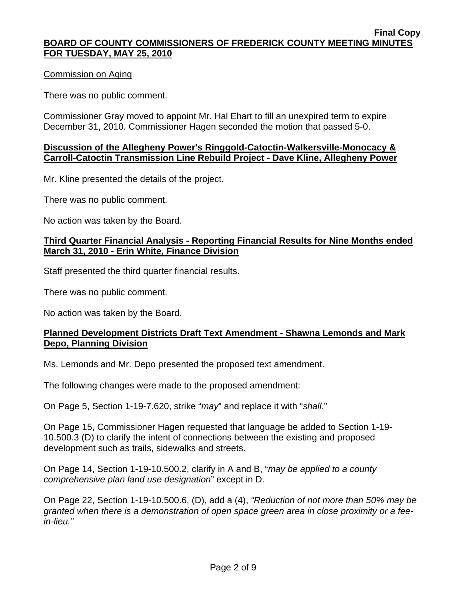### Commission on Aging

There was no public comment.

Commissioner Gray moved to appoint Mr. Hal Ehart to fill an unexpired term to expire December 31, 2010. Commissioner Hagen seconded the motion that passed 5-0.

### **Discussion of the Allegheny Power's Ringgold-Catoctin-Walkersville-Monocacy & Carroll-Catoctin Transmission Line Rebuild Project - Dave Kline, Allegheny Power**

Mr. Kline presented the details of the project.

There was no public comment.

No action was taken by the Board.

## **Third Quarter Financial Analysis - Reporting Financial Results for Nine Months ended March 31, 2010 - Erin White, Finance Division**

Staff presented the third quarter financial results.

There was no public comment.

No action was taken by the Board.

## **Planned Development Districts Draft Text Amendment - Shawna Lemonds and Mark Depo, Planning Division**

Ms. Lemonds and Mr. Depo presented the proposed text amendment.

The following changes were made to the proposed amendment:

On Page 5, Section 1-19-7.620, strike "*may*" and replace it with "*shall*."

On Page 15, Commissioner Hagen requested that language be added to Section 1-19- 10.500.3 (D) to clarify the intent of connections between the existing and proposed development such as trails, sidewalks and streets.

On Page 14, Section 1-19-10.500.2, clarify in A and B, "*may be applied to a county comprehensive plan land use designation*" except in D.

On Page 22, Section 1-19-10.500.6, (D), add a (4), *"Reduction of not more than 50% may be granted when there is a demonstration of open space green area in close proximity or a feein-lieu."*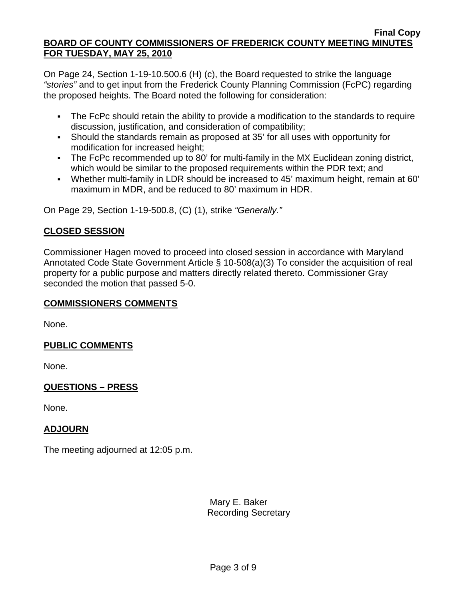On Page 24, Section 1-19-10.500.6 (H) (c), the Board requested to strike the language *"stories"* and to get input from the Frederick County Planning Commission (FcPC) regarding the proposed heights. The Board noted the following for consideration:

- The FcPc should retain the ability to provide a modification to the standards to require discussion, justification, and consideration of compatibility;
- Should the standards remain as proposed at 35' for all uses with opportunity for modification for increased height;
- The FcPc recommended up to 80' for multi-family in the MX Euclidean zoning district, which would be similar to the proposed requirements within the PDR text; and
- Whether multi-family in LDR should be increased to 45' maximum height, remain at 60' maximum in MDR, and be reduced to 80' maximum in HDR.

On Page 29, Section 1-19-500.8, (C) (1), strike *"Generally."*

# **CLOSED SESSION**

Commissioner Hagen moved to proceed into closed session in accordance with Maryland Annotated Code State Government Article § 10-508(a)(3) To consider the acquisition of real property for a public purpose and matters directly related thereto. Commissioner Gray seconded the motion that passed 5-0.

### **COMMISSIONERS COMMENTS**

None.

# **PUBLIC COMMENTS**

None.

# **QUESTIONS – PRESS**

None.

# **ADJOURN**

The meeting adjourned at 12:05 p.m.

 Mary E. Baker Recording Secretary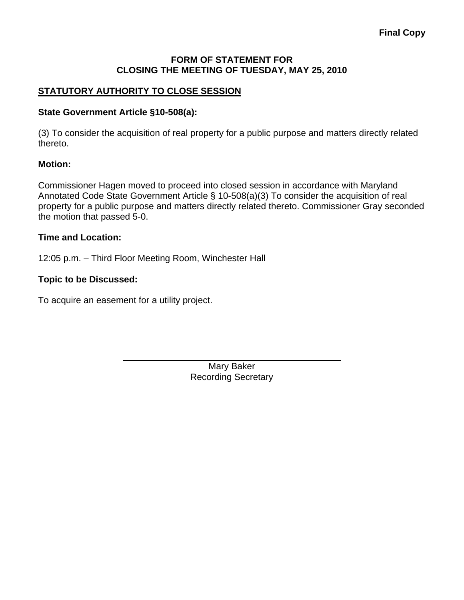### **FORM OF STATEMENT FOR CLOSING THE MEETING OF TUESDAY, MAY 25, 2010**

# **STATUTORY AUTHORITY TO CLOSE SESSION**

### **State Government Article §10-508(a):**

(3) To consider the acquisition of real property for a public purpose and matters directly related thereto.

#### **Motion:**

Commissioner Hagen moved to proceed into closed session in accordance with Maryland Annotated Code State Government Article § 10-508(a)(3) To consider the acquisition of real property for a public purpose and matters directly related thereto. Commissioner Gray seconded the motion that passed 5-0.

### **Time and Location:**

12:05 p.m. – Third Floor Meeting Room, Winchester Hall

#### **Topic to be Discussed:**

To acquire an easement for a utility project.

 $\overline{a}$ 

Mary Baker Recording Secretary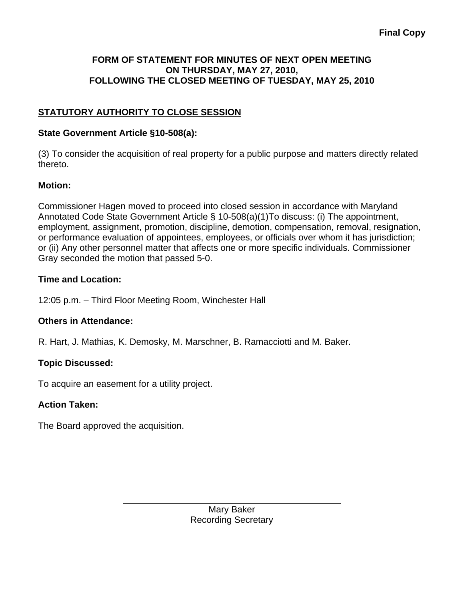# **FORM OF STATEMENT FOR MINUTES OF NEXT OPEN MEETING ON THURSDAY, MAY 27, 2010, FOLLOWING THE CLOSED MEETING OF TUESDAY, MAY 25, 2010**

# **STATUTORY AUTHORITY TO CLOSE SESSION**

# **State Government Article §10-508(a):**

(3) To consider the acquisition of real property for a public purpose and matters directly related thereto.

# **Motion:**

Commissioner Hagen moved to proceed into closed session in accordance with Maryland Annotated Code State Government Article § 10-508(a)(1)To discuss: (i) The appointment, employment, assignment, promotion, discipline, demotion, compensation, removal, resignation, or performance evaluation of appointees, employees, or officials over whom it has jurisdiction; or (ii) Any other personnel matter that affects one or more specific individuals. Commissioner Gray seconded the motion that passed 5-0.

# **Time and Location:**

12:05 p.m. – Third Floor Meeting Room, Winchester Hall

# **Others in Attendance:**

R. Hart, J. Mathias, K. Demosky, M. Marschner, B. Ramacciotti and M. Baker.

# **Topic Discussed:**

To acquire an easement for a utility project.

 $\overline{a}$ 

# **Action Taken:**

The Board approved the acquisition.

Mary Baker Recording Secretary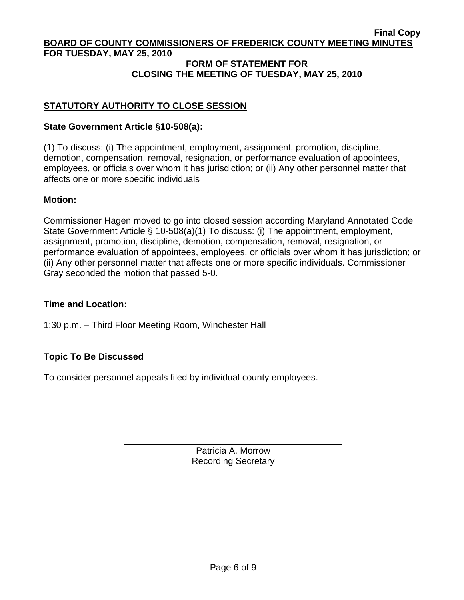### **FORM OF STATEMENT FOR CLOSING THE MEETING OF TUESDAY, MAY 25, 2010**

# **STATUTORY AUTHORITY TO CLOSE SESSION**

### **State Government Article §10-508(a):**

(1) To discuss: (i) The appointment, employment, assignment, promotion, discipline, demotion, compensation, removal, resignation, or performance evaluation of appointees, employees, or officials over whom it has jurisdiction; or (ii) Any other personnel matter that affects one or more specific individuals

### **Motion:**

Commissioner Hagen moved to go into closed session according Maryland Annotated Code State Government Article § 10-508(a)(1) To discuss: (i) The appointment, employment, assignment, promotion, discipline, demotion, compensation, removal, resignation, or performance evaluation of appointees, employees, or officials over whom it has jurisdiction; or (ii) Any other personnel matter that affects one or more specific individuals. Commissioner Gray seconded the motion that passed 5-0.

### **Time and Location:**

1:30 p.m. – Third Floor Meeting Room, Winchester Hall

# **Topic To Be Discussed**

 $\overline{a}$ 

To consider personnel appeals filed by individual county employees.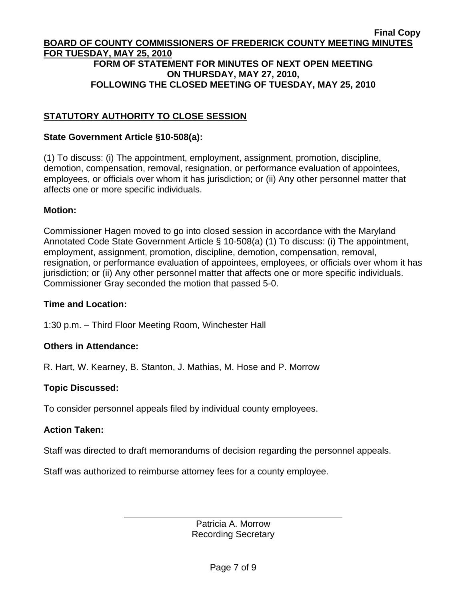#### **Final Copy BOARD OF COUNTY COMMISSIONERS OF FREDERICK COUNTY MEETING MINUTES FOR TUESDAY, MAY 25, 2010 FORM OF STATEMENT FOR MINUTES OF NEXT OPEN MEETING ON THURSDAY, MAY 27, 2010, FOLLOWING THE CLOSED MEETING OF TUESDAY, MAY 25, 2010**

# **STATUTORY AUTHORITY TO CLOSE SESSION**

### **State Government Article §10-508(a):**

(1) To discuss: (i) The appointment, employment, assignment, promotion, discipline, demotion, compensation, removal, resignation, or performance evaluation of appointees, employees, or officials over whom it has jurisdiction; or (ii) Any other personnel matter that affects one or more specific individuals.

#### **Motion:**

Commissioner Hagen moved to go into closed session in accordance with the Maryland Annotated Code State Government Article § 10-508(a) (1) To discuss: (i) The appointment, employment, assignment, promotion, discipline, demotion, compensation, removal, resignation, or performance evaluation of appointees, employees, or officials over whom it has jurisdiction; or (ii) Any other personnel matter that affects one or more specific individuals. Commissioner Gray seconded the motion that passed 5-0.

#### **Time and Location:**

1:30 p.m. – Third Floor Meeting Room, Winchester Hall

### **Others in Attendance:**

 $\overline{a}$ 

R. Hart, W. Kearney, B. Stanton, J. Mathias, M. Hose and P. Morrow

### **Topic Discussed:**

To consider personnel appeals filed by individual county employees.

### **Action Taken:**

Staff was directed to draft memorandums of decision regarding the personnel appeals.

Staff was authorized to reimburse attorney fees for a county employee.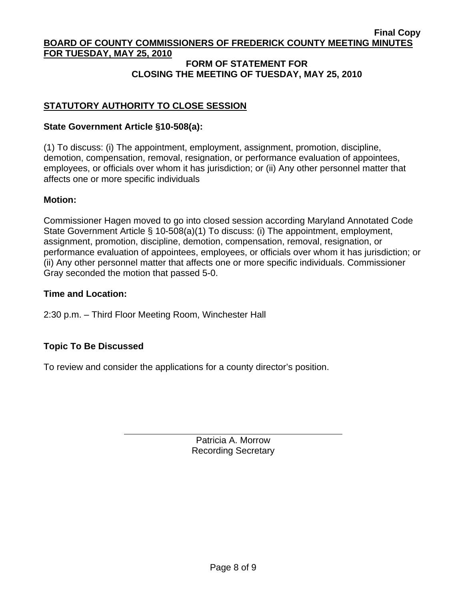### **FORM OF STATEMENT FOR CLOSING THE MEETING OF TUESDAY, MAY 25, 2010**

# **STATUTORY AUTHORITY TO CLOSE SESSION**

### **State Government Article §10-508(a):**

(1) To discuss: (i) The appointment, employment, assignment, promotion, discipline, demotion, compensation, removal, resignation, or performance evaluation of appointees, employees, or officials over whom it has jurisdiction; or (ii) Any other personnel matter that affects one or more specific individuals

#### **Motion:**

Commissioner Hagen moved to go into closed session according Maryland Annotated Code State Government Article § 10-508(a)(1) To discuss: (i) The appointment, employment, assignment, promotion, discipline, demotion, compensation, removal, resignation, or performance evaluation of appointees, employees, or officials over whom it has jurisdiction; or (ii) Any other personnel matter that affects one or more specific individuals. Commissioner Gray seconded the motion that passed 5-0.

#### **Time and Location:**

2:30 p.m. – Third Floor Meeting Room, Winchester Hall

### **Topic To Be Discussed**

 $\overline{a}$ 

To review and consider the applications for a county director's position.